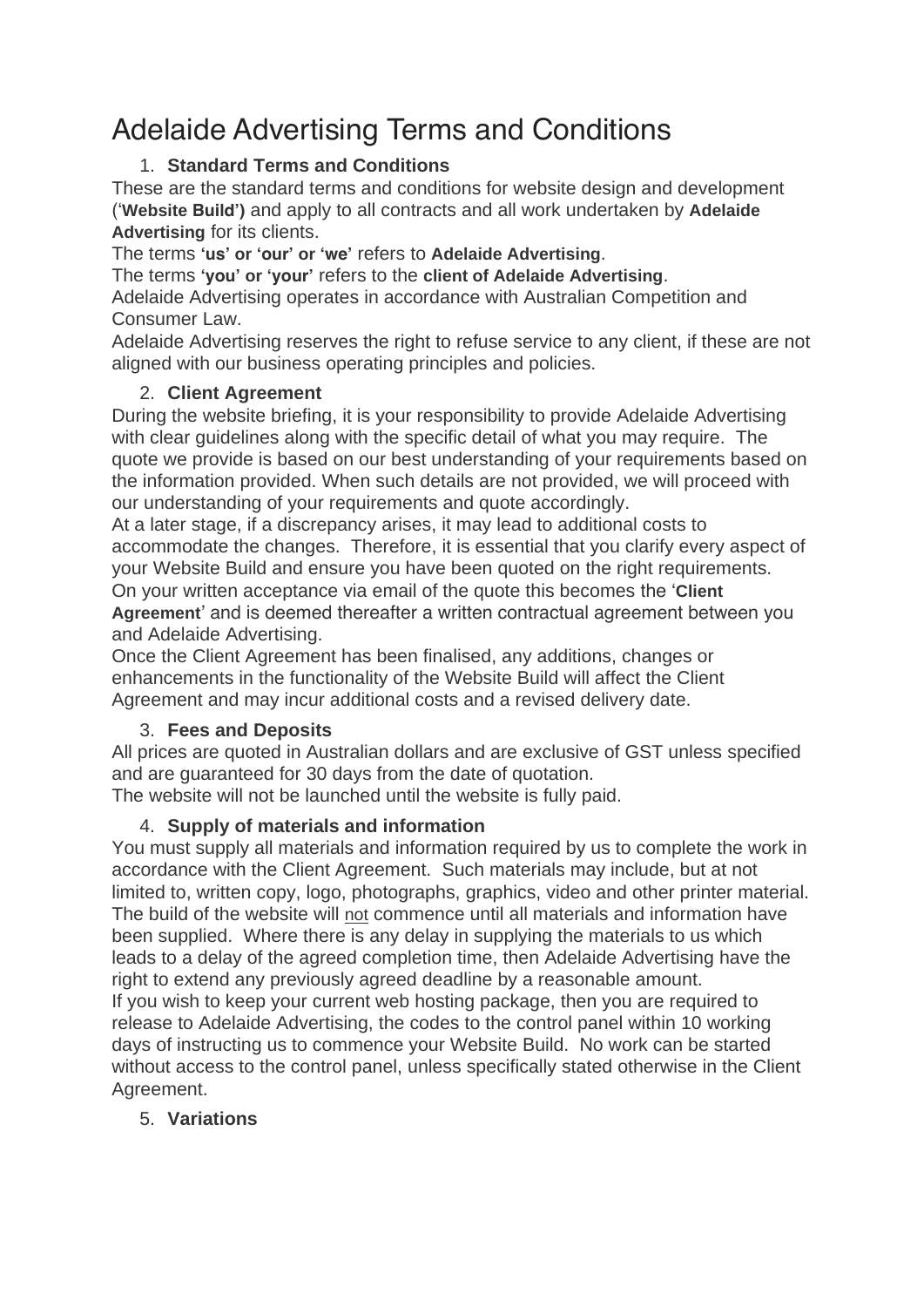# Adelaide Advertising Terms and Conditions

# 1. **Standard Terms and Conditions**

These are the standard terms and conditions for website design and development ('**Website Build')** and apply to all contracts and all work undertaken by **Adelaide Advertising** for its clients.

The terms **'us' or 'our' or 'we'** refers to **Adelaide Advertising**.

The terms **'you' or 'your'** refers to the **client of Adelaide Advertising**.

Adelaide Advertising operates in accordance with Australian Competition and Consumer Law.

Adelaide Advertising reserves the right to refuse service to any client, if these are not aligned with our business operating principles and policies.

# 2. **Client Agreement**

During the website briefing, it is your responsibility to provide Adelaide Advertising with clear guidelines along with the specific detail of what you may require. The quote we provide is based on our best understanding of your requirements based on the information provided. When such details are not provided, we will proceed with our understanding of your requirements and quote accordingly.

At a later stage, if a discrepancy arises, it may lead to additional costs to accommodate the changes. Therefore, it is essential that you clarify every aspect of your Website Build and ensure you have been quoted on the right requirements. On your written acceptance via email of the quote this becomes the '**Client Agreement**' and is deemed thereafter a written contractual agreement between you and Adelaide Advertising.

Once the Client Agreement has been finalised, any additions, changes or enhancements in the functionality of the Website Build will affect the Client Agreement and may incur additional costs and a revised delivery date.

# 3. **Fees and Deposits**

All prices are quoted in Australian dollars and are exclusive of GST unless specified and are guaranteed for 30 days from the date of quotation.

The website will not be launched until the website is fully paid.

# 4. **Supply of materials and information**

You must supply all materials and information required by us to complete the work in accordance with the Client Agreement. Such materials may include, but at not limited to, written copy, logo, photographs, graphics, video and other printer material. The build of the website will not commence until all materials and information have been supplied. Where there is any delay in supplying the materials to us which leads to a delay of the agreed completion time, then Adelaide Advertising have the right to extend any previously agreed deadline by a reasonable amount. If you wish to keep your current web hosting package, then you are required to release to Adelaide Advertising, the codes to the control panel within 10 working

days of instructing us to commence your Website Build. No work can be started without access to the control panel, unless specifically stated otherwise in the Client Agreement.

# 5. **Variations**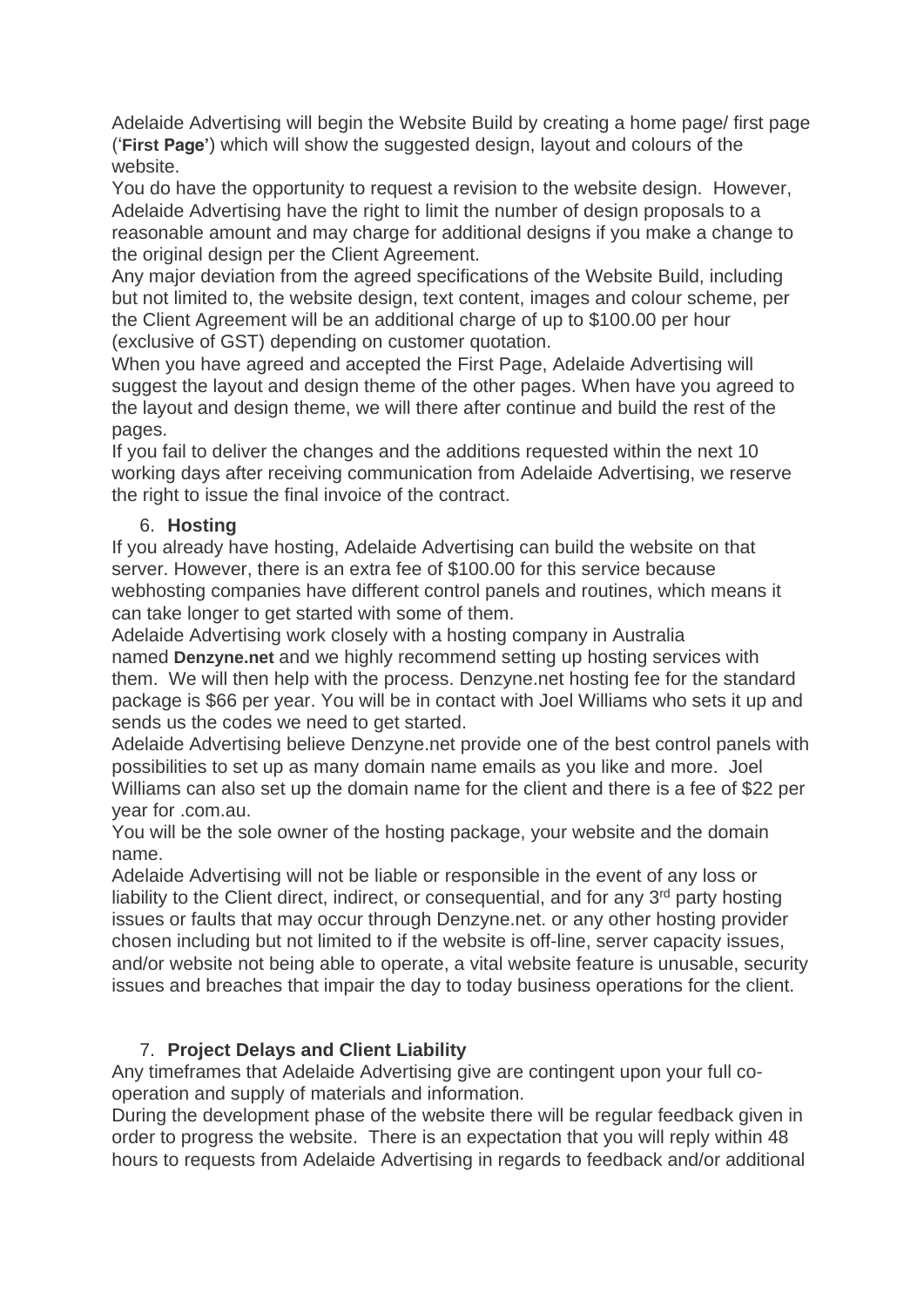Adelaide Advertising will begin the Website Build by creating a home page/ first page ('**First Page'**) which will show the suggested design, layout and colours of the website.

You do have the opportunity to request a revision to the website design. However, Adelaide Advertising have the right to limit the number of design proposals to a reasonable amount and may charge for additional designs if you make a change to the original design per the Client Agreement.

Any major deviation from the agreed specifications of the Website Build, including but not limited to, the website design, text content, images and colour scheme, per the Client Agreement will be an additional charge of up to \$100.00 per hour (exclusive of GST) depending on customer quotation.

When you have agreed and accepted the First Page, Adelaide Advertising will suggest the layout and design theme of the other pages. When have you agreed to the layout and design theme, we will there after continue and build the rest of the pages.

If you fail to deliver the changes and the additions requested within the next 10 working days after receiving communication from Adelaide Advertising, we reserve the right to issue the final invoice of the contract.

## 6. **Hosting**

If you already have hosting, Adelaide Advertising can build the website on that server. However, there is an extra fee of \$100.00 for this service because webhosting companies have different control panels and routines, which means it can take longer to get started with some of them.

Adelaide Advertising work closely with a hosting company in Australia named **Denzyne.net** and we highly recommend setting up hosting services with them. We will then help with the process. Denzyne.net hosting fee for the standard package is \$66 per year. You will be in contact with Joel Williams who sets it up and sends us the codes we need to get started.

Adelaide Advertising believe Denzyne.net provide one of the best control panels with possibilities to set up as many domain name emails as you like and more. Joel Williams can also set up the domain name for the client and there is a fee of \$22 per year for .com.au.

You will be the sole owner of the hosting package, your website and the domain name.

Adelaide Advertising will not be liable or responsible in the event of any loss or liability to the Client direct, indirect, or consequential, and for any 3<sup>rd</sup> party hosting issues or faults that may occur through Denzyne.net. or any other hosting provider chosen including but not limited to if the website is off-line, server capacity issues, and/or website not being able to operate, a vital website feature is unusable, security issues and breaches that impair the day to today business operations for the client.

# 7. **Project Delays and Client Liability**

Any timeframes that Adelaide Advertising give are contingent upon your full cooperation and supply of materials and information.

During the development phase of the website there will be regular feedback given in order to progress the website. There is an expectation that you will reply within 48 hours to requests from Adelaide Advertising in regards to feedback and/or additional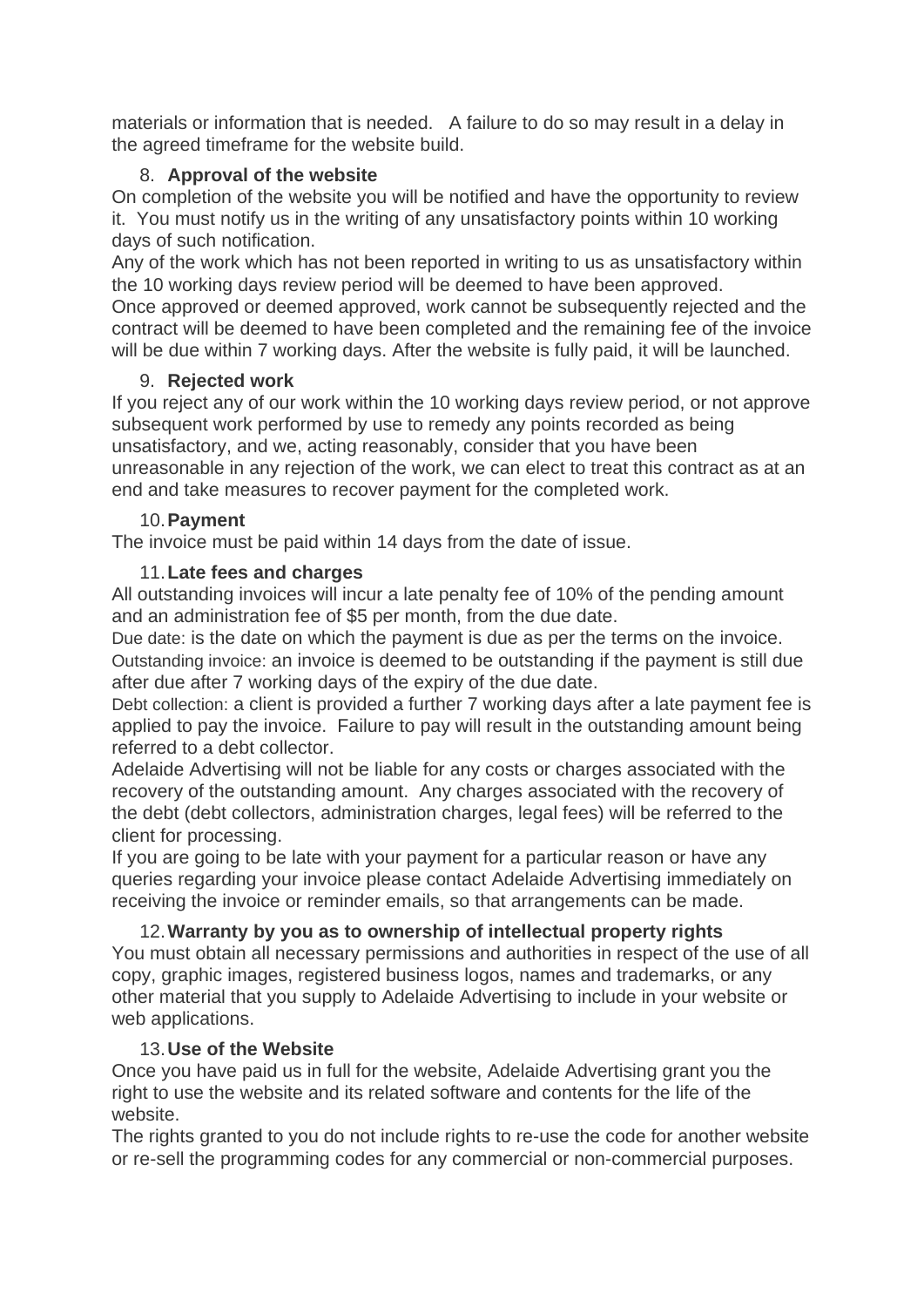materials or information that is needed. A failure to do so may result in a delay in the agreed timeframe for the website build.

## 8. **Approval of the website**

On completion of the website you will be notified and have the opportunity to review it. You must notify us in the writing of any unsatisfactory points within 10 working days of such notification.

Any of the work which has not been reported in writing to us as unsatisfactory within the 10 working days review period will be deemed to have been approved.

Once approved or deemed approved, work cannot be subsequently rejected and the contract will be deemed to have been completed and the remaining fee of the invoice will be due within 7 working days. After the website is fully paid, it will be launched.

## 9. **Rejected work**

If you reject any of our work within the 10 working days review period, or not approve subsequent work performed by use to remedy any points recorded as being unsatisfactory, and we, acting reasonably, consider that you have been unreasonable in any rejection of the work, we can elect to treat this contract as at an end and take measures to recover payment for the completed work.

#### 10.**Payment**

The invoice must be paid within 14 days from the date of issue.

## 11.**Late fees and charges**

All outstanding invoices will incur a late penalty fee of 10% of the pending amount and an administration fee of \$5 per month, from the due date.

*Due date:* is the date on which the payment is due as per the terms on the invoice. *Outstanding invoice:* an invoice is deemed to be outstanding if the payment is still due after due after 7 working days of the expiry of the due date.

*Debt collection:* a client is provided a further 7 working days after a late payment fee is applied to pay the invoice. Failure to pay will result in the outstanding amount being referred to a debt collector.

Adelaide Advertising will not be liable for any costs or charges associated with the recovery of the outstanding amount. Any charges associated with the recovery of the debt (debt collectors, administration charges, legal fees) will be referred to the client for processing.

If you are going to be late with your payment for a particular reason or have any queries regarding your invoice please contact Adelaide Advertising immediately on receiving the invoice or reminder emails, so that arrangements can be made.

## 12.**Warranty by you as to ownership of intellectual property rights**

You must obtain all necessary permissions and authorities in respect of the use of all copy, graphic images, registered business logos, names and trademarks, or any other material that you supply to Adelaide Advertising to include in your website or web applications.

## 13.**Use of the Website**

Once you have paid us in full for the website, Adelaide Advertising grant you the right to use the website and its related software and contents for the life of the website.

The rights granted to you do not include rights to re-use the code for another website or re-sell the programming codes for any commercial or non-commercial purposes.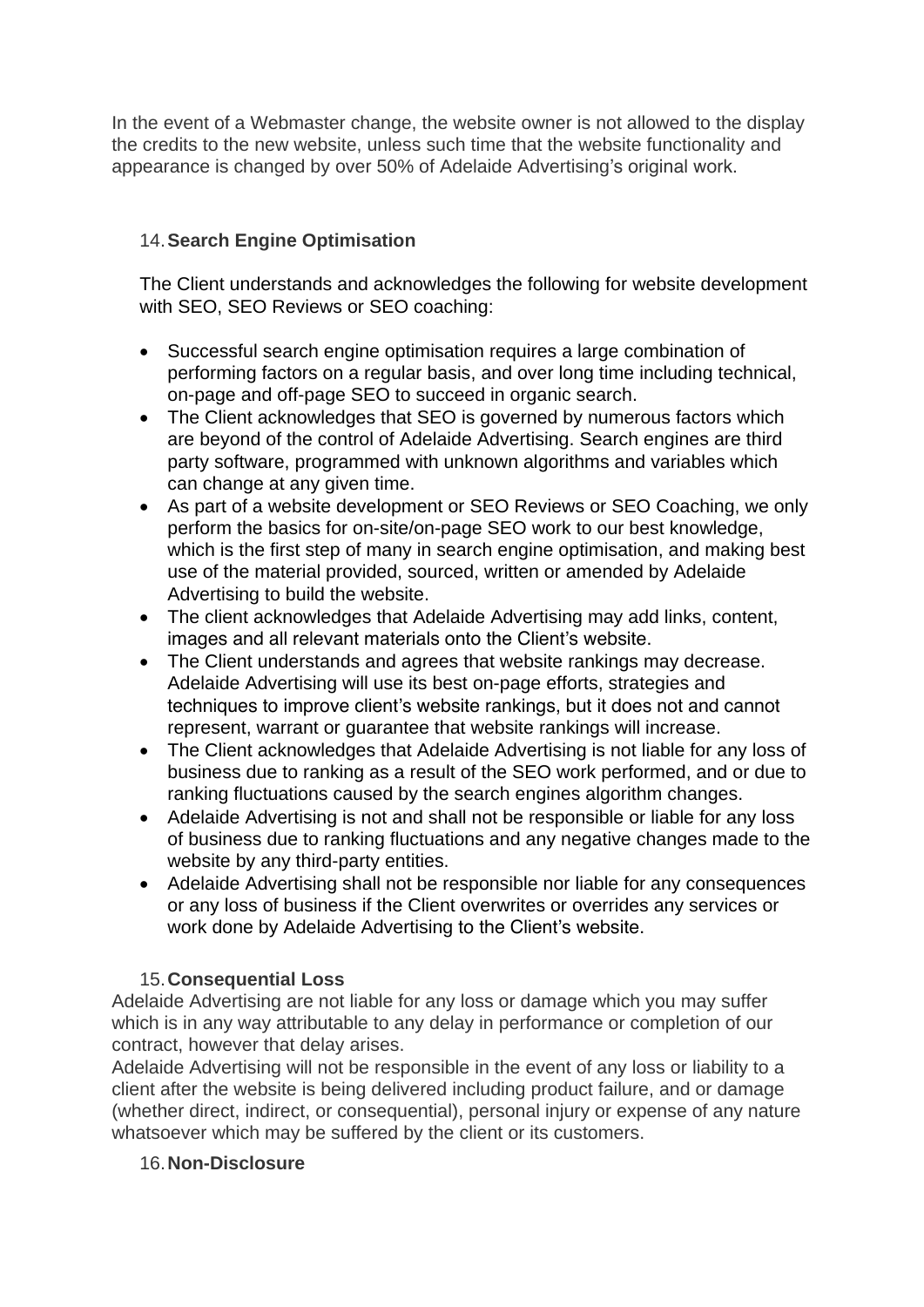In the event of a Webmaster change, the website owner is not allowed to the display the credits to the new website, unless such time that the website functionality and appearance is changed by over 50% of Adelaide Advertising's original work.

## 14.**Search Engine Optimisation**

The Client understands and acknowledges the following for website development with SEO, SEO Reviews or SEO coaching:

- Successful search engine optimisation requires a large combination of performing factors on a regular basis, and over long time including technical, on-page and off-page SEO to succeed in organic search.
- The Client acknowledges that SEO is governed by numerous factors which are beyond of the control of Adelaide Advertising. Search engines are third party software, programmed with unknown algorithms and variables which can change at any given time.
- As part of a website development or SEO Reviews or SEO Coaching, we only perform the basics for on-site/on-page SEO work to our best knowledge, which is the first step of many in search engine optimisation, and making best use of the material provided, sourced, written or amended by Adelaide Advertising to build the website.
- The client acknowledges that Adelaide Advertising may add links, content, images and all relevant materials onto the Client's website.
- The Client understands and agrees that website rankings may decrease. Adelaide Advertising will use its best on-page efforts, strategies and techniques to improve client's website rankings, but it does not and cannot represent, warrant or guarantee that website rankings will increase.
- The Client acknowledges that Adelaide Advertising is not liable for any loss of business due to ranking as a result of the SEO work performed, and or due to ranking fluctuations caused by the search engines algorithm changes.
- Adelaide Advertising is not and shall not be responsible or liable for any loss of business due to ranking fluctuations and any negative changes made to the website by any third-party entities.
- Adelaide Advertising shall not be responsible nor liable for any consequences or any loss of business if the Client overwrites or overrides any services or work done by Adelaide Advertising to the Client's website.

## 15.**Consequential Loss**

Adelaide Advertising are not liable for any loss or damage which you may suffer which is in any way attributable to any delay in performance or completion of our contract, however that delay arises.

Adelaide Advertising will not be responsible in the event of any loss or liability to a client after the website is being delivered including product failure, and or damage (whether direct, indirect, or consequential), personal injury or expense of any nature whatsoever which may be suffered by the client or its customers.

#### 16.**Non-Disclosure**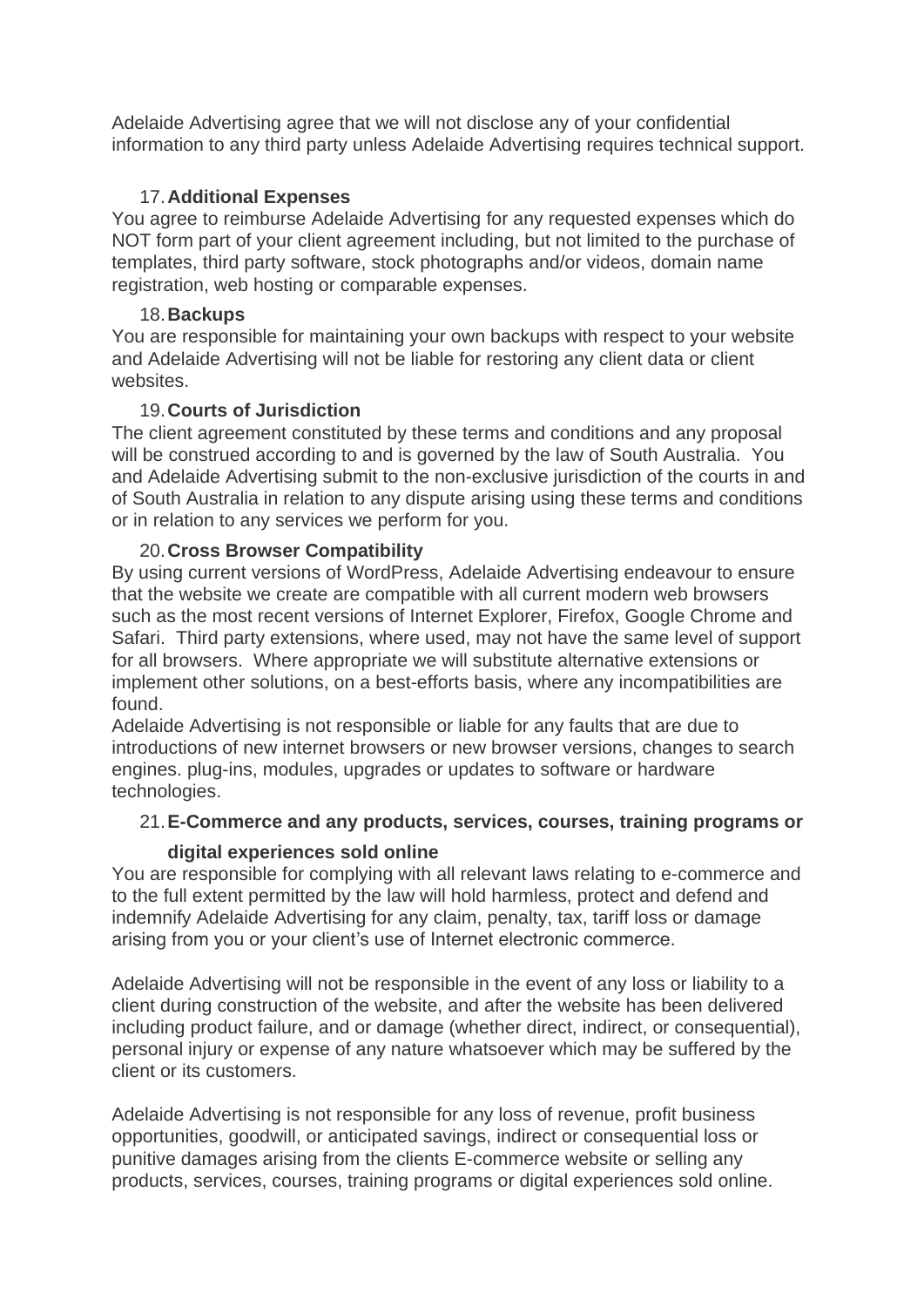Adelaide Advertising agree that we will not disclose any of your confidential information to any third party unless Adelaide Advertising requires technical support.

#### 17.**Additional Expenses**

You agree to reimburse Adelaide Advertising for any requested expenses which do NOT form part of your client agreement including, but not limited to the purchase of templates, third party software, stock photographs and/or videos, domain name registration, web hosting or comparable expenses.

#### 18.**Backups**

You are responsible for maintaining your own backups with respect to your website and Adelaide Advertising will not be liable for restoring any client data or client websites.

#### 19.**Courts of Jurisdiction**

The client agreement constituted by these terms and conditions and any proposal will be construed according to and is governed by the law of South Australia. You and Adelaide Advertising submit to the non-exclusive jurisdiction of the courts in and of South Australia in relation to any dispute arising using these terms and conditions or in relation to any services we perform for you.

## 20.**Cross Browser Compatibility**

By using current versions of WordPress, Adelaide Advertising endeavour to ensure that the website we create are compatible with all current modern web browsers such as the most recent versions of Internet Explorer, Firefox, Google Chrome and Safari. Third party extensions, where used, may not have the same level of support for all browsers. Where appropriate we will substitute alternative extensions or implement other solutions, on a best-efforts basis, where any incompatibilities are found.

Adelaide Advertising is not responsible or liable for any faults that are due to introductions of new internet browsers or new browser versions, changes to search engines. plug-ins, modules, upgrades or updates to software or hardware technologies.

## 21.**E-Commerce and any products, services, courses, training programs or**

## **digital experiences sold online**

You are responsible for complying with all relevant laws relating to e-commerce and to the full extent permitted by the law will hold harmless, protect and defend and indemnify Adelaide Advertising for any claim, penalty, tax, tariff loss or damage arising from you or your client's use of Internet electronic commerce.

Adelaide Advertising will not be responsible in the event of any loss or liability to a client during construction of the website, and after the website has been delivered including product failure, and or damage (whether direct, indirect, or consequential), personal injury or expense of any nature whatsoever which may be suffered by the client or its customers.

Adelaide Advertising is not responsible for any loss of revenue, profit business opportunities, goodwill, or anticipated savings, indirect or consequential loss or punitive damages arising from the clients E-commerce website or selling any products, services, courses, training programs or digital experiences sold online.